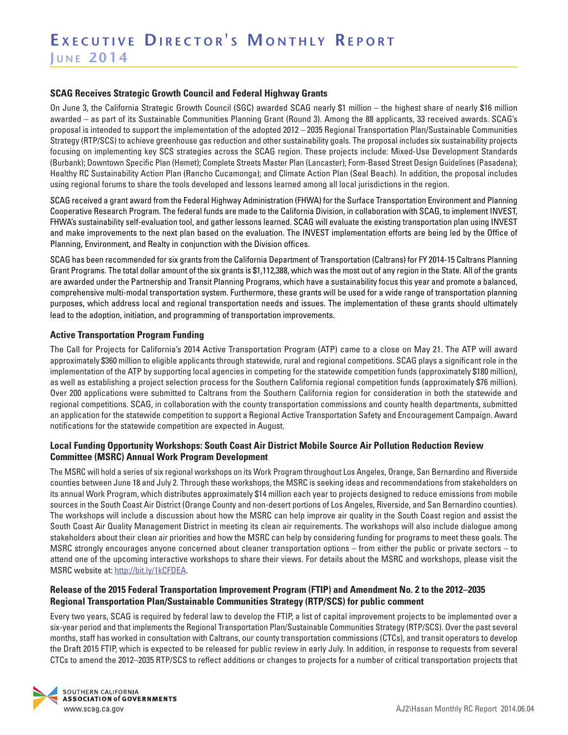#### **SCAG Receives Strategic Growth Council and Federal Highway Grants**

On June 3, the California Strategic Growth Council (SGC) awarded SCAG nearly \$1 million – the highest share of nearly \$16 million awarded – as part of its Sustainable Communities Planning Grant (Round 3). Among the 88 applicants, 33 received awards. SCAG's proposal is intended to support the implementation of the adopted 2012 – 2035 Regional Transportation Plan/Sustainable Communities Strategy (RTP/SCS) to achieve greenhouse gas reduction and other sustainability goals. The proposal includes six sustainability projects focusing on implementing key SCS strategies across the SCAG region. These projects include: Mixed-Use Development Standards (Burbank); Downtown Specific Plan (Hemet); Complete Streets Master Plan (Lancaster); Form-Based Street Design Guidelines (Pasadena); Healthy RC Sustainability Action Plan (Rancho Cucamonga); and Climate Action Plan (Seal Beach). In addition, the proposal includes using regional forums to share the tools developed and lessons learned among all local jurisdictions in the region.

SCAG received a grant award from the Federal Highway Administration (FHWA) for the Surface Transportation Environment and Planning Cooperative Research Program. The federal funds are made to the California Division, in collaboration with SCAG, to implement INVEST, FHWA's sustainability self-evaluation tool, and gather lessons learned. SCAG will evaluate the existing transportation plan using INVEST and make improvements to the next plan based on the evaluation. The INVEST implementation efforts are being led by the Office of Planning, Environment, and Realty in conjunction with the Division offices.

SCAG has been recommended for six grants from the California Department of Transportation (Caltrans) for FY 2014-15 Caltrans Planning Grant Programs. The total dollar amount of the six grants is \$1,112,388, which was the most out of any region in the State. All of the grants are awarded under the Partnership and Transit Planning Programs, which have a sustainability focus this year and promote a balanced, comprehensive multi-modal transportation system. Furthermore, these grants will be used for a wide range of transportation planning purposes, which address local and regional transportation needs and issues. The implementation of these grants should ultimately lead to the adoption, initiation, and programming of transportation improvements.

#### **Active Transportation Program Funding**

The Call for Projects for California's 2014 Active Transportation Program (ATP) came to a close on May 21. The ATP will award approximately \$360 million to eligible applicants through statewide, rural and regional competitions. SCAG plays a significant role in the implementation of the ATP by supporting local agencies in competing for the statewide competition funds (approximately \$180 million), as well as establishing a project selection process for the Southern California regional competition funds (approximately \$76 million). Over 200 applications were submitted to Caltrans from the Southern California region for consideration in both the statewide and regional competitions. SCAG, in collaboration with the county transportation commissions and county health departments, submitted an application for the statewide competition to support a Regional Active Transportation Safety and Encouragement Campaign. Award notifications for the statewide competition are expected in August.

### **Local Funding Opportunity Workshops: South Coast Air District Mobile Source Air Pollution Reduction Review Committee (MSRC) Annual Work Program Development**

The MSRC will hold a series of six regional workshops on its Work Program throughout Los Angeles, Orange, San Bernardino and Riverside counties between June 18 and July 2. Through these workshops, the MSRC is seeking ideas and recommendations from stakeholders on its annual Work Program, which distributes approximately \$14 million each year to projects designed to reduce emissions from mobile sources in the South Coast Air District (Orange County and non-desert portions of Los Angeles, Riverside, and San Bernardino counties). The workshops will include a discussion about how the MSRC can help improve air quality in the South Coast region and assist the South Coast Air Quality Management District in meeting its clean air requirements. The workshops will also include dialogue among stakeholders about their clean air priorities and how the MSRC can help by considering funding for programs to meet these goals. The MSRC strongly encourages anyone concerned about cleaner transportation options – from either the public or private sectors – to attend one of the upcoming interactive workshops to share their views. For details about the MSRC and workshops, please visit the MSRC website at: http://bit.ly/1kCFDEA.

### **Release of the 2015 Federal Transportation Improvement Program (FTIP) and Amendment No. 2 to the 2012–2035 Regional Transportation Plan/Sustainable Communities Strategy (RTP/SCS) for public comment**

Every two years, SCAG is required by federal law to develop the FTIP, a list of capital improvement projects to be implemented over a six-year period and that implements the Regional Transportation Plan/Sustainable Communities Strategy (RTP/SCS). Over the past several months, staff has worked in consultation with Caltrans, our county transportation commissions (CTCs), and transit operators to develop the Draft 2015 FTIP, which is expected to be released for public review in early July. In addition, in response to requests from several CTCs to amend the 2012–2035 RTP/SCS to reflect additions or changes to projects for a number of critical transportation projects that

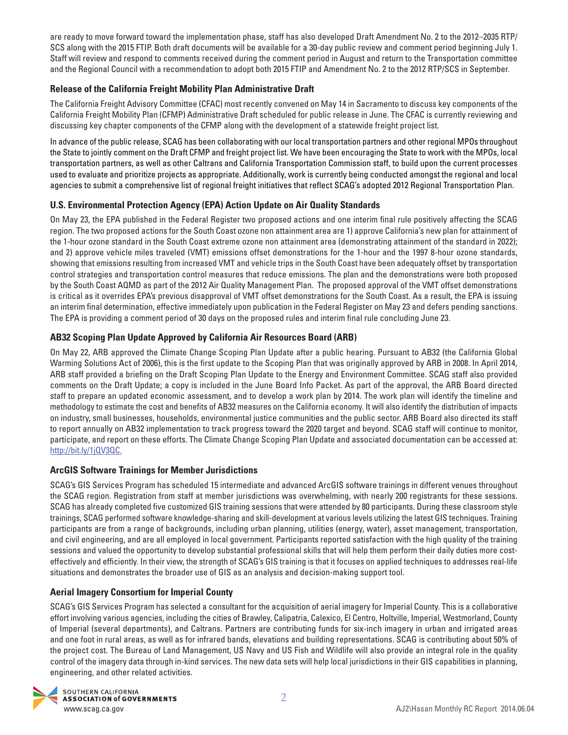are ready to move forward toward the implementation phase, staff has also developed Draft Amendment No. 2 to the 2012–2035 RTP/ SCS along with the 2015 FTIP. Both draft documents will be available for a 30-day public review and comment period beginning July 1. Staff will review and respond to comments received during the comment period in August and return to the Transportation committee and the Regional Council with a recommendation to adopt both 2015 FTIP and Amendment No. 2 to the 2012 RTP/SCS in September.

# **Release of the California Freight Mobility Plan Administrative Draft**

The California Freight Advisory Committee (CFAC) most recently convened on May 14 in Sacramento to discuss key components of the California Freight Mobility Plan (CFMP) Administrative Draft scheduled for public release in June. The CFAC is currently reviewing and discussing key chapter components of the CFMP along with the development of a statewide freight project list.

In advance of the public release, SCAG has been collaborating with our local transportation partners and other regional MPOs throughout the State to jointly comment on the Draft CFMP and freight project list. We have been encouraging the State to work with the MPOs, local transportation partners, as well as other Caltrans and California Transportation Commission staff, to build upon the current processes used to evaluate and prioritize projects as appropriate. Additionally, work is currently being conducted amongst the regional and local agencies to submit a comprehensive list of regional freight initiatives that reflect SCAG's adopted 2012 Regional Transportation Plan.

# **U.S. Environmental Protection Agency (EPA) Action Update on Air Quality Standards**

On May 23, the EPA published in the Federal Register two proposed actions and one interim final rule positively affecting the SCAG region. The two proposed actions for the South Coast ozone non attainment area are 1) approve California's new plan for attainment of the 1-hour ozone standard in the South Coast extreme ozone non attainment area (demonstrating attainment of the standard in 2022); and 2) approve vehicle miles traveled (VMT) emissions offset demonstrations for the 1-hour and the 1997 8-hour ozone standards, showing that emissions resulting from increased VMT and vehicle trips in the South Coast have been adequately offset by transportation control strategies and transportation control measures that reduce emissions. The plan and the demonstrations were both proposed by the South Coast AQMD as part of the 2012 Air Quality Management Plan. The proposed approval of the VMT offset demonstrations is critical as it overrides EPA's previous disapproval of VMT offset demonstrations for the South Coast. As a result, the EPA is issuing an interim final determination, effective immediately upon publication in the Federal Register on May 23 and defers pending sanctions. The EPA is providing a comment period of 30 days on the proposed rules and interim final rule concluding June 23.

# **AB32 Scoping Plan Update Approved by California Air Resources Board (ARB)**

On May 22, ARB approved the Climate Change Scoping Plan Update after a public hearing. Pursuant to AB32 (the California Global Warming Solutions Act of 2006), this is the first update to the Scoping Plan that was originally approved by ARB in 2008. In April 2014, ARB staff provided a briefing on the Draft Scoping Plan Update to the Energy and Environment Committee. SCAG staff also provided comments on the Draft Update; a copy is included in the June Board Info Packet. As part of the approval, the ARB Board directed staff to prepare an updated economic assessment, and to develop a work plan by 2014. The work plan will identify the timeline and methodology to estimate the cost and benefits of AB32 measures on the California economy. It will also identify the distribution of impacts on industry, small businesses, households, environmental justice communities and the public sector. ARB Board also directed its staff to report annually on AB32 implementation to track progress toward the 2020 target and beyond. SCAG staff will continue to monitor, participate, and report on these efforts. The Climate Change Scoping Plan Update and associated documentation can be accessed at: http://bit.ly/1jQV3QC.

## **ArcGIS Software Trainings for Member Jurisdictions**

SCAG's GIS Services Program has scheduled 15 intermediate and advanced ArcGIS software trainings in different venues throughout the SCAG region. Registration from staff at member jurisdictions was overwhelming, with nearly 200 registrants for these sessions. SCAG has already completed five customized GIS training sessions that were attended by 80 participants. During these classroom style trainings, SCAG performed software knowledge-sharing and skill-development at various levels utilizing the latest GIS techniques. Training participants are from a range of backgrounds, including urban planning, utilities (energy, water), asset management, transportation, and civil engineering, and are all employed in local government. Participants reported satisfaction with the high quality of the training sessions and valued the opportunity to develop substantial professional skills that will help them perform their daily duties more costeffectively and efficiently. In their view, the strength of SCAG's GIS training is that it focuses on applied techniques to addresses real-life situations and demonstrates the broader use of GIS as an analysis and decision-making support tool.

# **Aerial Imagery Consortium for Imperial County**

SCAG's GIS Services Program has selected a consultant for the acquisition of aerial imagery for Imperial County. This is a collaborative effort involving various agencies, including the cities of Brawley, Calipatria, Calexico, El Centro, Holtville, Imperial, Westmorland, County of Imperial (several departments), and Caltrans. Partners are contributing funds for six-inch imagery in urban and irrigated areas and one foot in rural areas, as well as for infrared bands, elevations and building representations. SCAG is contributing about 50% of the project cost. The Bureau of Land Management, US Navy and US Fish and Wildlife will also provide an integral role in the quality control of the imagery data through in-kind services. The new data sets will help local jurisdictions in their GIS capabilities in planning, engineering, and other related activities.

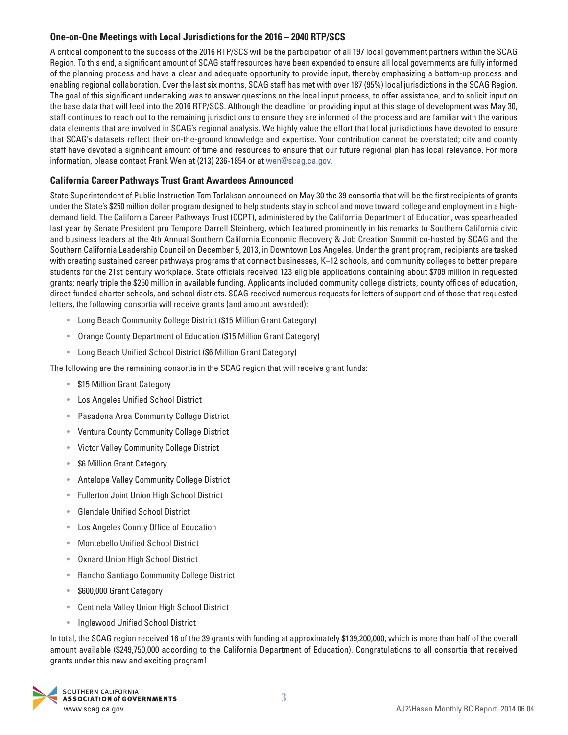## **One-on-One Meetings with Local Jurisdictions for the 2016 – 2040 RTP/SCS**

A critical component to the success of the 2016 RTP/SCS will be the participation of all 197 local government partners within the SCAG Region. To this end, a significant amount of SCAG staff resources have been expended to ensure all local governments are fully informed of the planning process and have a clear and adequate opportunity to provide input, thereby emphasizing a bottom-up process and enabling regional collaboration. Over the last six months, SCAG staff has met with over 187 (95%) local jurisdictions in the SCAG Region. The goal of this significant undertaking was to answer questions on the local input process, to offer assistance, and to solicit input on the base data that will feed into the 2016 RTP/SCS. Although the deadline for providing input at this stage of development was May 30, staff continues to reach out to the remaining jurisdictions to ensure they are informed of the process and are familiar with the various data elements that are involved in SCAG's regional analysis. We highly value the effort that local jurisdictions have devoted to ensure that SCAG's datasets reflect their on-the-ground knowledge and expertise. Your contribution cannot be overstated; city and county staff have devoted a significant amount of time and resources to ensure that our future regional plan has local relevance. For more information, please contact Frank Wen at (213) 236-1854 or at [wen@scag.ca.gov](mailto:wen@scag.ca.gov).

### **California Career Pathways Trust Grant Awardees Announced**

State Superintendent of Public Instruction Tom Torlakson announced on May 30 the 39 consortia that will be the first recipients of grants under the State's \$250 million dollar program designed to help students stay in school and move toward college and employment in a highdemand field. The California Career Pathways Trust (CCPT), administered by the California Department of Education, was spearheaded last year by Senate President pro Tempore Darrell Steinberg, which featured prominently in his remarks to Southern California civic and business leaders at the 4th Annual Southern California Economic Recovery & Job Creation Summit co-hosted by SCAG and the Southern California Leadership Council on December 5, 2013, in Downtown Los Angeles. Under the grant program, recipients are tasked with creating sustained career pathways programs that connect businesses, K–12 schools, and community colleges to better prepare students for the 21st century workplace. State officials received 123 eligible applications containing about \$709 million in requested grants; nearly triple the \$250 million in available funding. Applicants included community college districts, county offices of education, direct-funded charter schools, and school districts. SCAG received numerous requests for letters of support and of those that requested letters, the following consortia will receive grants (and amount awarded):

- Long Beach Community College District (\$15 Million Grant Category)
- Orange County Department of Education (\$15 Million Grant Category)
- Long Beach Unified School District (\$6 Million Grant Category)

The following are the remaining consortia in the SCAG region that will receive grant funds:

- \$15 Million Grant Category
- Los Angeles Unified School District
- Pasadena Area Community College District
- Ventura County Community College District
- Victor Valley Community College District
- \$6 Million Grant Category
- Antelope Valley Community College District
- Fullerton Joint Union High School District
- Glendale Unified School District
- Los Angeles County Office of Education
- Montebello Unified School District
- Oxnard Union High School District
- Rancho Santiago Community College District
- \$600,000 Grant Category
- Centinela Valley Union High School District
- Inglewood Unified School District

In total, the SCAG region received 16 of the 39 grants with funding at approximately \$139,200,000, which is more than half of the overall amount available (\$249,750,000 according to the California Department of Education). Congratulations to all consortia that received grants under this new and exciting program!